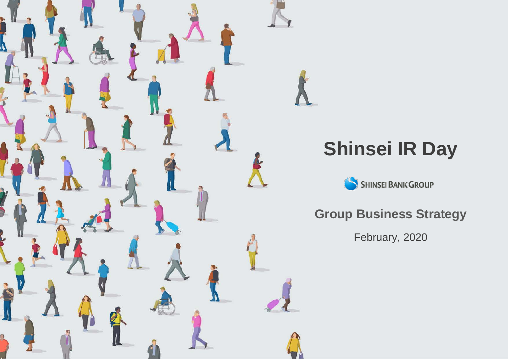

# **Shinsei IR Day**

SHINSEI BANK GROUP

**Group Business Strategy**

February, 2020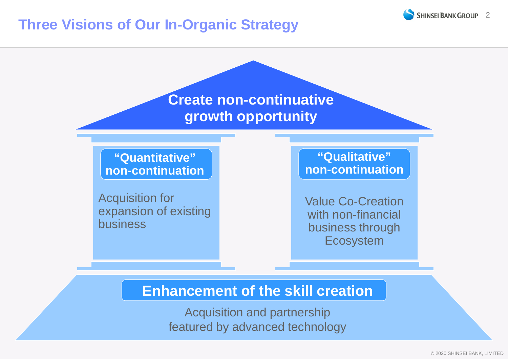# **Three Visions of Our In-Organic Strategy**

**Create non-continuative growth opportunity**

**"Quantitative" non-continuation**

Acquisition for expansion of existing business

**"Qualitative" non-continuation**

Value Co-Creation with non-financial business through **Ecosystem** 

## **Enhancement of the skill creation**

Acquisition and partnership featured by advanced technology **SHINSEI BANK GROUP 2**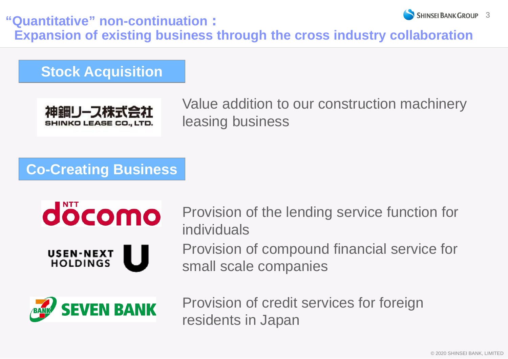SHINSEI BANK GROUP 3 **"Quantitative" non-continuation: Expansion of existing business through the cross industry collaboration**

**Stock Acquisition**



Value addition to our construction machinery leasing business

# **Co-Creating Business**



Provision of the lending service function for individuals

Provision of compound financial service for small scale companies



Provision of credit services for foreign residents in Japan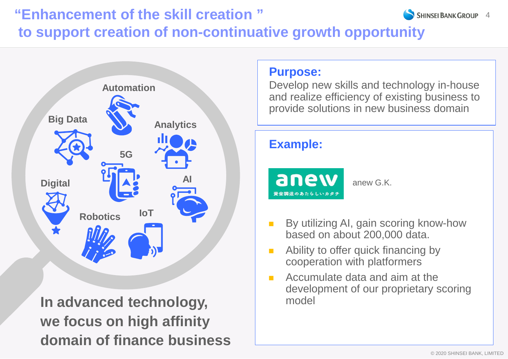#### **SHINSEI BANK GROUP 4 "Enhancement of the skill creation " to support creation of non-continuative growth opportunity**



**In advanced technology, we focus on high affinity domain of finance business**

## **Purpose:**

Develop new skills and technology in-house and realize efficiency of existing business to provide solutions in new business domain

## **Example:**

aney

anew G.K.

- By utilizing AI, gain scoring know-how based on about 200,000 data.
- **Ability to offer quick financing by** cooperation with platformers
- **Accumulate data and aim at the** development of our proprietary scoring model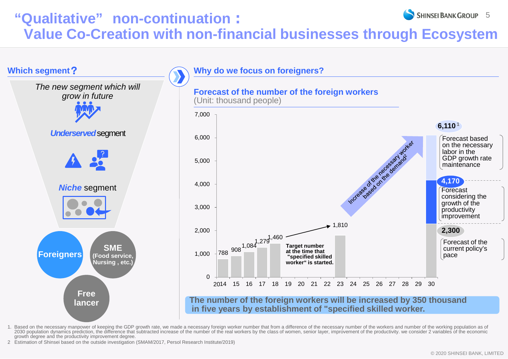#### **SHINSEI BANK GROUP 5 "Qualitative" non-continuation: Value Co-Creation with non-financial businesses through Ecosystem**



1. Based on the necessary manpower of keeping the GDP growth rate, we made a necessary foreign worker number that from a difference of the necessary number of the workers and number of the working population as of 2030 population dynamics prediction, the difference that subtracted increase of the number of the real workers by the class of women, senior layer, improvement of the productivity. we consider 2 variables of the economic growth degree and the productivity improvement degree.

2 Estimation of Shinsei based on the outside investigation (SMAM/2017, Persol Research Institute/2019)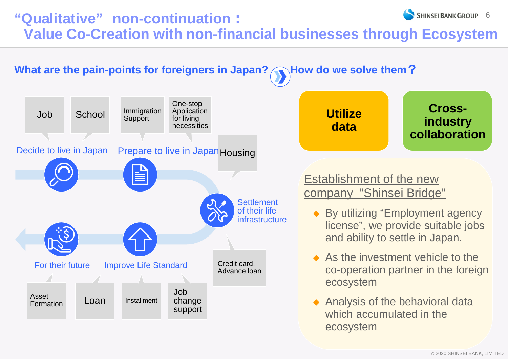#### **SHINSEI BANK GROUP 6 "Qualitative" non-continuation: Value Co-Creation with non-financial businesses through Ecosystem**

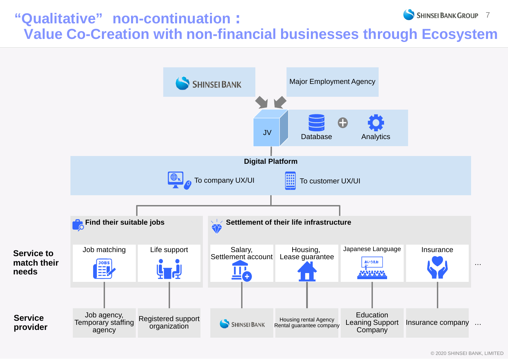#### **SHINSEI BANK GROUP 7 "Qualitative" non-continuation: Value Co-Creation with non-financial businesses through Ecosystem**



© 2020 SHINSEI BANK, LIMITED